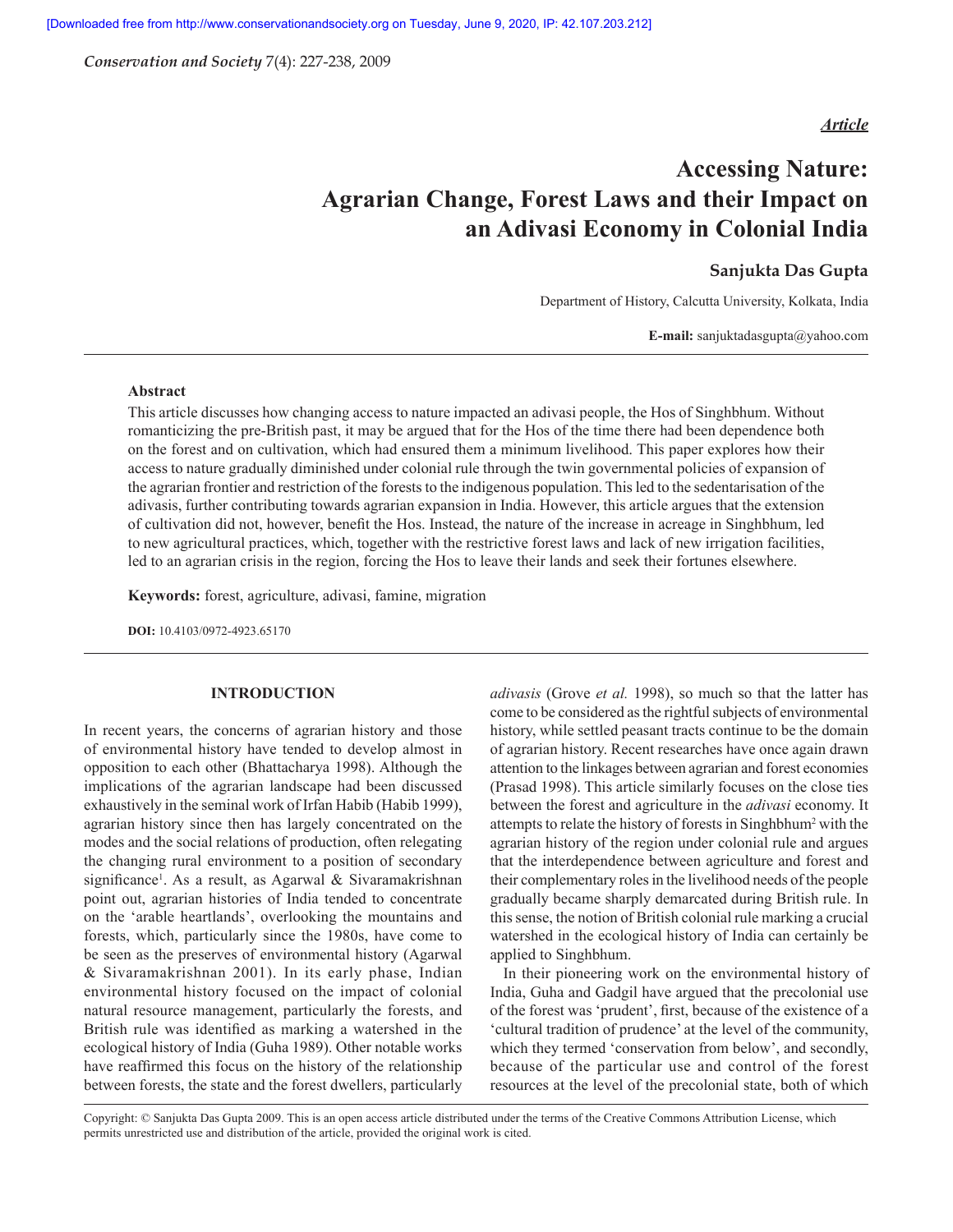*Conservation and Society* 7(4): 227-238, 2009

# *Article*

# **Accessing Nature: Agrarian Change, Forest Laws and their Impact on an Adivasi Economy in Colonial India**

# **Sanjukta Das Gupta**

Department of History, Calcutta University, Kolkata, India

**E-mail:** sanjuktadasgupta@yahoo.com

#### **Abstract**

This article discusses how changing access to nature impacted an adivasi people, the Hos of Singhbhum. Without romanticizing the pre-British past, it may be argued that for the Hos of the time there had been dependence both on the forest and on cultivation, which had ensured them a minimum livelihood. This paper explores how their access to nature gradually diminished under colonial rule through the twin governmental policies of expansion of the agrarian frontier and restriction of the forests to the indigenous population. This led to the sedentarisation of the adivasis, further contributing towards agrarian expansion in India. However, this article argues that the extension of cultivation did not, however, benefi t the Hos. Instead, the nature of the increase in acreage in Singhbhum, led to new agricultural practices, which, together with the restrictive forest laws and lack of new irrigation facilities, led to an agrarian crisis in the region, forcing the Hos to leave their lands and seek their fortunes elsewhere.

**Keywords:** forest, agriculture, adivasi, famine, migration

**DOI:** 10.4103/0972-4923.65170

#### **INTRODUCTION**

In recent years, the concerns of agrarian history and those of environmental history have tended to develop almost in opposition to each other (Bhattacharya 1998). Although the implications of the agrarian landscape had been discussed exhaustively in the seminal work of Irfan Habib (Habib 1999), agrarian history since then has largely concentrated on the modes and the social relations of production, often relegating the changing rural environment to a position of secondary significance<sup>1</sup>. As a result, as Agarwal & Sivaramakrishnan point out, agrarian histories of India tended to concentrate on the 'arable heartlands', overlooking the mountains and forests, which, particularly since the 1980s, have come to be seen as the preserves of environmental history (Agarwal & Sivaramakrishnan 2001). In its early phase, Indian environmental history focused on the impact of colonial natural resource management, particularly the forests, and British rule was identified as marking a watershed in the ecological history of India (Guha 1989). Other notable works have reaffirmed this focus on the history of the relationship between forests, the state and the forest dwellers, particularly

*adivasis* (Grove *et al.* 1998), so much so that the latter has come to be considered as the rightful subjects of environmental history, while settled peasant tracts continue to be the domain of agrarian history. Recent researches have once again drawn attention to the linkages between agrarian and forest economies (Prasad 1998). This article similarly focuses on the close ties between the forest and agriculture in the *adivasi* economy. It attempts to relate the history of forests in Singhbhum<sup>2</sup> with the agrarian history of the region under colonial rule and argues that the interdependence between agriculture and forest and their complementary roles in the livelihood needs of the people gradually became sharply demarcated during British rule. In this sense, the notion of British colonial rule marking a crucial watershed in the ecological history of India can certainly be applied to Singhbhum.

In their pioneering work on the environmental history of India, Guha and Gadgil have argued that the precolonial use of the forest was 'prudent', first, because of the existence of a 'cultural tradition of prudence' at the level of the community, which they termed 'conservation from below', and secondly, because of the particular use and control of the forest resources at the level of the precolonial state, both of which

Copyright: © Sanjukta Das Gupta 2009. This is an open access article distributed under the terms of the Creative Commons Attribution License, which permits unrestricted use and distribution of the article, provided the original work is cited.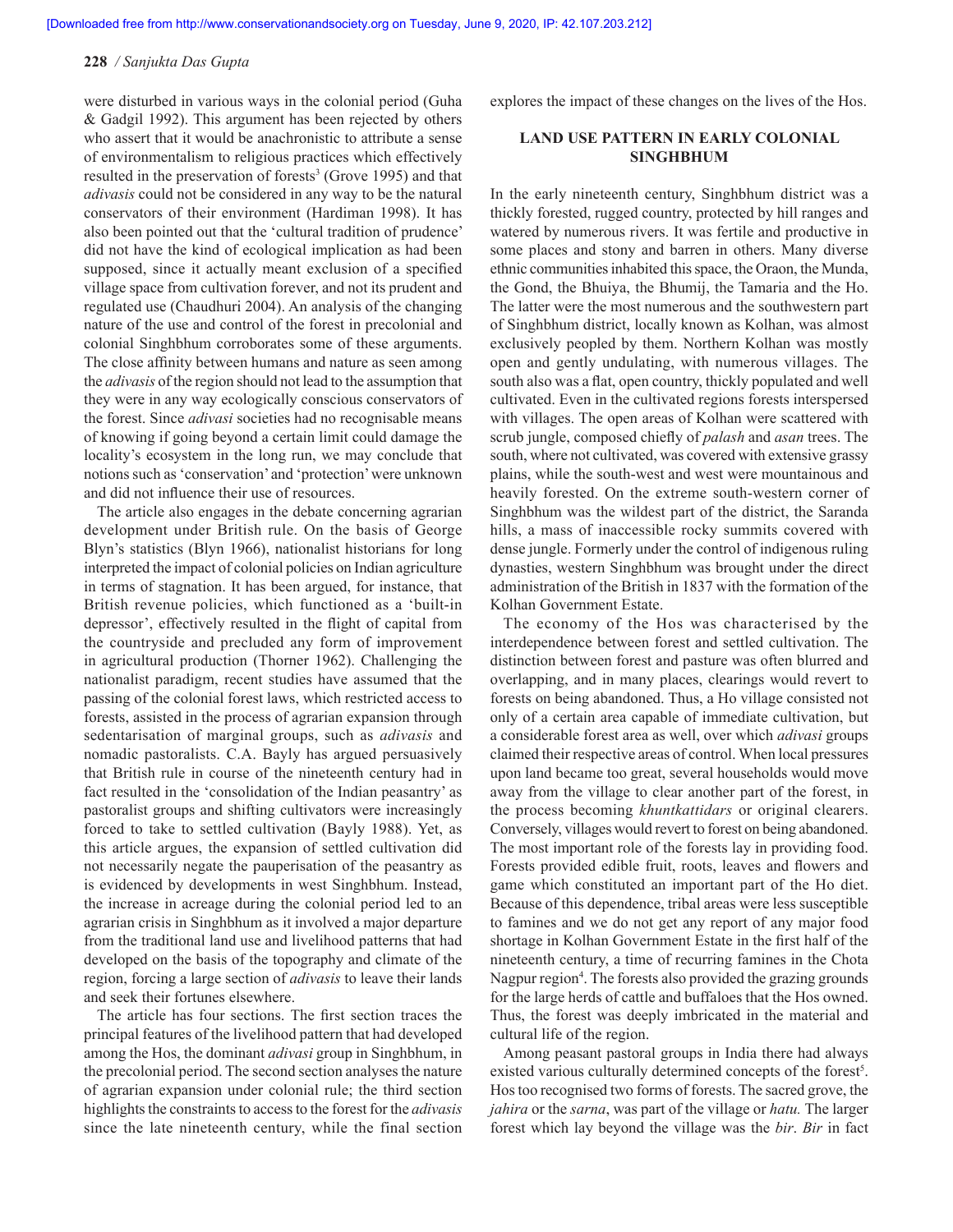were disturbed in various ways in the colonial period (Guha & Gadgil 1992). This argument has been rejected by others who assert that it would be anachronistic to attribute a sense of environmentalism to religious practices which effectively resulted in the preservation of forests<sup>3</sup> (Grove 1995) and that *adivasis* could not be considered in any way to be the natural conservators of their environment (Hardiman 1998). It has also been pointed out that the 'cultural tradition of prudence' did not have the kind of ecological implication as had been supposed, since it actually meant exclusion of a specified village space from cultivation forever, and not its prudent and regulated use (Chaudhuri 2004). An analysis of the changing nature of the use and control of the forest in precolonial and colonial Singhbhum corroborates some of these arguments. The close affinity between humans and nature as seen among the *adivasis* of the region should not lead to the assumption that they were in any way ecologically conscious conservators of the forest. Since *adivasi* societies had no recognisable means of knowing if going beyond a certain limit could damage the locality's ecosystem in the long run, we may conclude that notions such as 'conservation' and 'protection' were unknown and did not influence their use of resources.

The article also engages in the debate concerning agrarian development under British rule. On the basis of George Blyn's statistics (Blyn 1966), nationalist historians for long interpreted the impact of colonial policies on Indian agriculture in terms of stagnation. It has been argued, for instance, that British revenue policies, which functioned as a 'built-in depressor', effectively resulted in the flight of capital from the countryside and precluded any form of improvement in agricultural production (Thorner 1962). Challenging the nationalist paradigm, recent studies have assumed that the passing of the colonial forest laws, which restricted access to forests, assisted in the process of agrarian expansion through sedentarisation of marginal groups, such as *adivasis* and nomadic pastoralists. C.A. Bayly has argued persuasively that British rule in course of the nineteenth century had in fact resulted in the 'consolidation of the Indian peasantry' as pastoralist groups and shifting cultivators were increasingly forced to take to settled cultivation (Bayly 1988). Yet, as this article argues, the expansion of settled cultivation did not necessarily negate the pauperisation of the peasantry as is evidenced by developments in west Singhbhum. Instead, the increase in acreage during the colonial period led to an agrarian crisis in Singhbhum as it involved a major departure from the traditional land use and livelihood patterns that had developed on the basis of the topography and climate of the region, forcing a large section of *adivasis* to leave their lands and seek their fortunes elsewhere.

The article has four sections. The first section traces the principal features of the livelihood pattern that had developed among the Hos, the dominant *adivasi* group in Singhbhum, in the precolonial period. The second section analyses the nature of agrarian expansion under colonial rule; the third section highlights the constraints to access to the forest for the *adivasis*  since the late nineteenth century, while the final section explores the impact of these changes on the lives of the Hos.

# **LAND USE PATTERN IN EARLY COLONIAL SINGHBHUM**

In the early nineteenth century, Singhbhum district was a thickly forested, rugged country, protected by hill ranges and watered by numerous rivers. It was fertile and productive in some places and stony and barren in others. Many diverse ethnic communities inhabited this space, the Oraon, the Munda, the Gond, the Bhuiya, the Bhumij, the Tamaria and the Ho. The latter were the most numerous and the southwestern part of Singhbhum district, locally known as Kolhan, was almost exclusively peopled by them. Northern Kolhan was mostly open and gently undulating, with numerous villages. The south also was a flat, open country, thickly populated and well cultivated. Even in the cultivated regions forests interspersed with villages. The open areas of Kolhan were scattered with scrub jungle, composed chiefly of *palash* and *asan* trees. The south, where not cultivated, was covered with extensive grassy plains, while the south-west and west were mountainous and heavily forested. On the extreme south-western corner of Singhbhum was the wildest part of the district, the Saranda hills, a mass of inaccessible rocky summits covered with dense jungle. Formerly under the control of indigenous ruling dynasties, western Singhbhum was brought under the direct administration of the British in 1837 with the formation of the Kolhan Government Estate.

The economy of the Hos was characterised by the interdependence between forest and settled cultivation. The distinction between forest and pasture was often blurred and overlapping, and in many places, clearings would revert to forests on being abandoned. Thus, a Ho village consisted not only of a certain area capable of immediate cultivation, but a considerable forest area as well, over which *adivasi* groups claimed their respective areas of control. When local pressures upon land became too great, several households would move away from the village to clear another part of the forest, in the process becoming *khuntkattidars* or original clearers. Conversely, villages would revert to forest on being abandoned. The most important role of the forests lay in providing food. Forests provided edible fruit, roots, leaves and flowers and game which constituted an important part of the Ho diet. Because of this dependence, tribal areas were less susceptible to famines and we do not get any report of any major food shortage in Kolhan Government Estate in the first half of the nineteenth century, a time of recurring famines in the Chota Nagpur region<sup>4</sup>. The forests also provided the grazing grounds for the large herds of cattle and buffaloes that the Hos owned. Thus, the forest was deeply imbricated in the material and cultural life of the region.

Among peasant pastoral groups in India there had always existed various culturally determined concepts of the forest<sup>5</sup>. Hos too recognised two forms of forests. The sacred grove, the *jahira* or the *sarna*, was part of the village or *hatu.* The larger forest which lay beyond the village was the *bir*. *Bir* in fact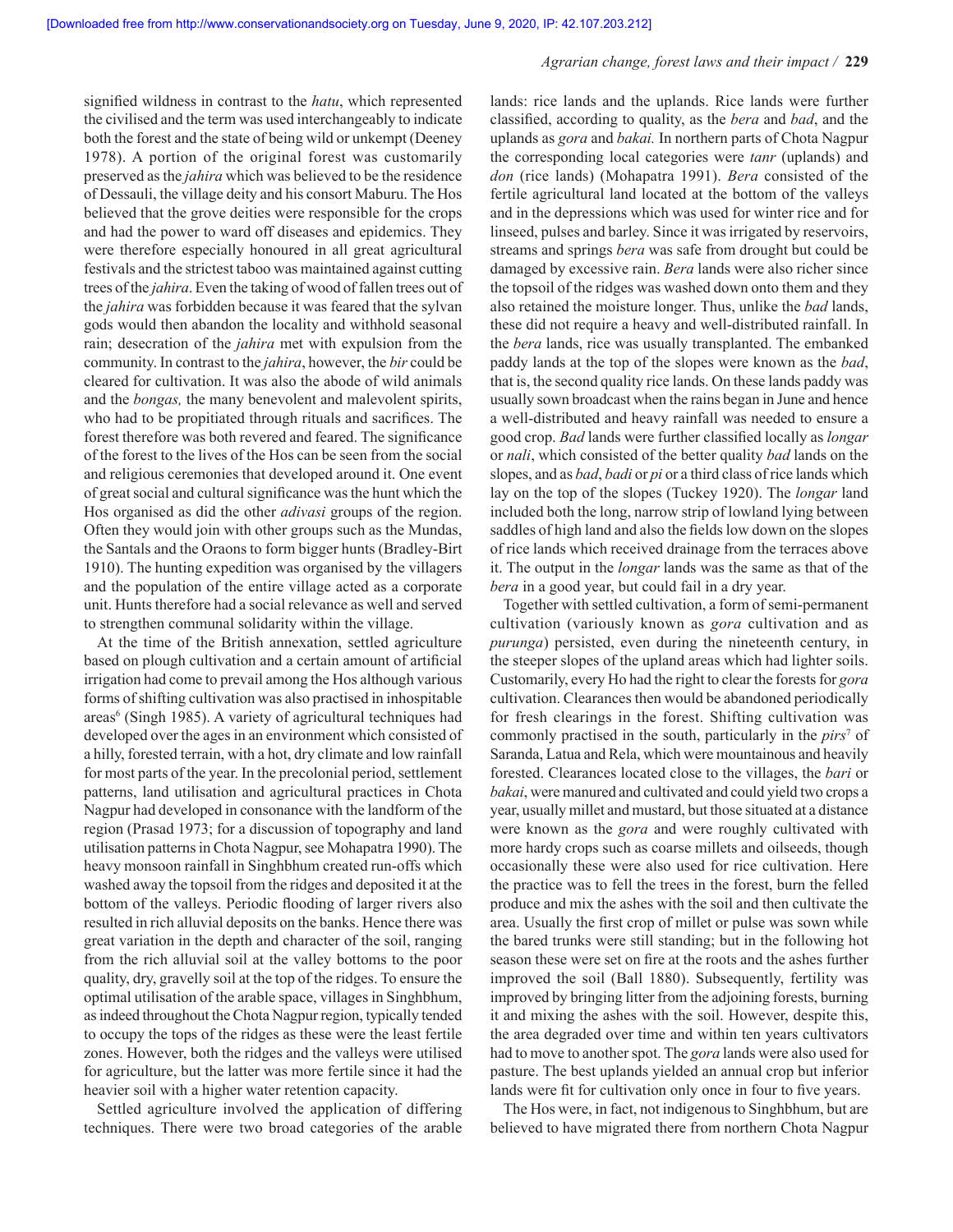#### *Agrarian change, forest laws and their impact /* **229**

signified wildness in contrast to the *hatu*, which represented the civilised and the term was used interchangeably to indicate both the forest and the state of being wild or unkempt (Deeney 1978). A portion of the original forest was customarily preserved as the *jahira* which was believed to be the residence of Dessauli, the village deity and his consort Maburu. The Hos believed that the grove deities were responsible for the crops and had the power to ward off diseases and epidemics. They were therefore especially honoured in all great agricultural festivals and the strictest taboo was maintained against cutting trees of the *jahira*. Even the taking of wood of fallen trees out of the *jahira* was forbidden because it was feared that the sylvan gods would then abandon the locality and withhold seasonal rain; desecration of the *jahira* met with expulsion from the community. In contrast to the *jahira*, however, the *bir* could be cleared for cultivation. It was also the abode of wild animals and the *bongas,* the many benevolent and malevolent spirits, who had to be propitiated through rituals and sacrifices. The forest therefore was both revered and feared. The significance of the forest to the lives of the Hos can be seen from the social and religious ceremonies that developed around it. One event of great social and cultural significance was the hunt which the Hos organised as did the other *adivasi* groups of the region. Often they would join with other groups such as the Mundas, the Santals and the Oraons to form bigger hunts (Bradley-Birt 1910). The hunting expedition was organised by the villagers and the population of the entire village acted as a corporate unit. Hunts therefore had a social relevance as well and served to strengthen communal solidarity within the village.

At the time of the British annexation, settled agriculture based on plough cultivation and a certain amount of artificial irrigation had come to prevail among the Hos although various forms of shifting cultivation was also practised in inhospitable areas<sup>6</sup> (Singh 1985). A variety of agricultural techniques had developed over the ages in an environment which consisted of a hilly, forested terrain, with a hot, dry climate and low rainfall for most parts of the year. In the precolonial period, settlement patterns, land utilisation and agricultural practices in Chota Nagpur had developed in consonance with the landform of the region (Prasad 1973; for a discussion of topography and land utilisation patterns in Chota Nagpur, see Mohapatra 1990). The heavy monsoon rainfall in Singhbhum created run-offs which washed away the topsoil from the ridges and deposited it at the bottom of the valleys. Periodic flooding of larger rivers also resulted in rich alluvial deposits on the banks. Hence there was great variation in the depth and character of the soil, ranging from the rich alluvial soil at the valley bottoms to the poor quality, dry, gravelly soil at the top of the ridges. To ensure the optimal utilisation of the arable space, villages in Singhbhum, as indeed throughout the Chota Nagpur region, typically tended to occupy the tops of the ridges as these were the least fertile zones. However, both the ridges and the valleys were utilised for agriculture, but the latter was more fertile since it had the heavier soil with a higher water retention capacity.

Settled agriculture involved the application of differing techniques. There were two broad categories of the arable lands: rice lands and the uplands. Rice lands were further classifi ed, according to quality, as the *bera* and *bad*, and the uplands as *gora* and *bakai.* In northern parts of Chota Nagpur the corresponding local categories were *tanr* (uplands) and *don* (rice lands) (Mohapatra 1991). *Bera* consisted of the fertile agricultural land located at the bottom of the valleys and in the depressions which was used for winter rice and for linseed, pulses and barley. Since it was irrigated by reservoirs, streams and springs *bera* was safe from drought but could be damaged by excessive rain. *Bera* lands were also richer since the topsoil of the ridges was washed down onto them and they also retained the moisture longer. Thus, unlike the *bad* lands, these did not require a heavy and well-distributed rainfall. In the *bera* lands, rice was usually transplanted. The embanked paddy lands at the top of the slopes were known as the *bad*, that is, the second quality rice lands. On these lands paddy was usually sown broadcast when the rains began in June and hence a well-distributed and heavy rainfall was needed to ensure a good crop. *Bad* lands were further classified locally as *longar* or *nali*, which consisted of the better quality *bad* lands on the slopes, and as *bad*, *badi* or *pi* or a third class of rice lands which lay on the top of the slopes (Tuckey 1920). The *longar* land included both the long, narrow strip of lowland lying between saddles of high land and also the fields low down on the slopes of rice lands which received drainage from the terraces above it. The output in the *longar* lands was the same as that of the *bera* in a good year, but could fail in a dry year.

Together with settled cultivation, a form of semi-permanent cultivation (variously known as *gora* cultivation and as *purunga*) persisted, even during the nineteenth century, in the steeper slopes of the upland areas which had lighter soils. Customarily, every Ho had the right to clear the forests for *gora* cultivation. Clearances then would be abandoned periodically for fresh clearings in the forest. Shifting cultivation was commonly practised in the south, particularly in the *pirs*<sup>7</sup> of Saranda, Latua and Rela, which were mountainous and heavily forested. Clearances located close to the villages, the *bari* or *bakai*, were manured and cultivated and could yield two crops a year, usually millet and mustard, but those situated at a distance were known as the *gora* and were roughly cultivated with more hardy crops such as coarse millets and oilseeds, though occasionally these were also used for rice cultivation. Here the practice was to fell the trees in the forest, burn the felled produce and mix the ashes with the soil and then cultivate the area. Usually the first crop of millet or pulse was sown while the bared trunks were still standing; but in the following hot season these were set on fire at the roots and the ashes further improved the soil (Ball 1880). Subsequently, fertility was improved by bringing litter from the adjoining forests, burning it and mixing the ashes with the soil. However, despite this, the area degraded over time and within ten years cultivators had to move to another spot. The *gora* lands were also used for pasture. The best uplands yielded an annual crop but inferior lands were fit for cultivation only once in four to five years.

The Hos were, in fact, not indigenous to Singhbhum, but are believed to have migrated there from northern Chota Nagpur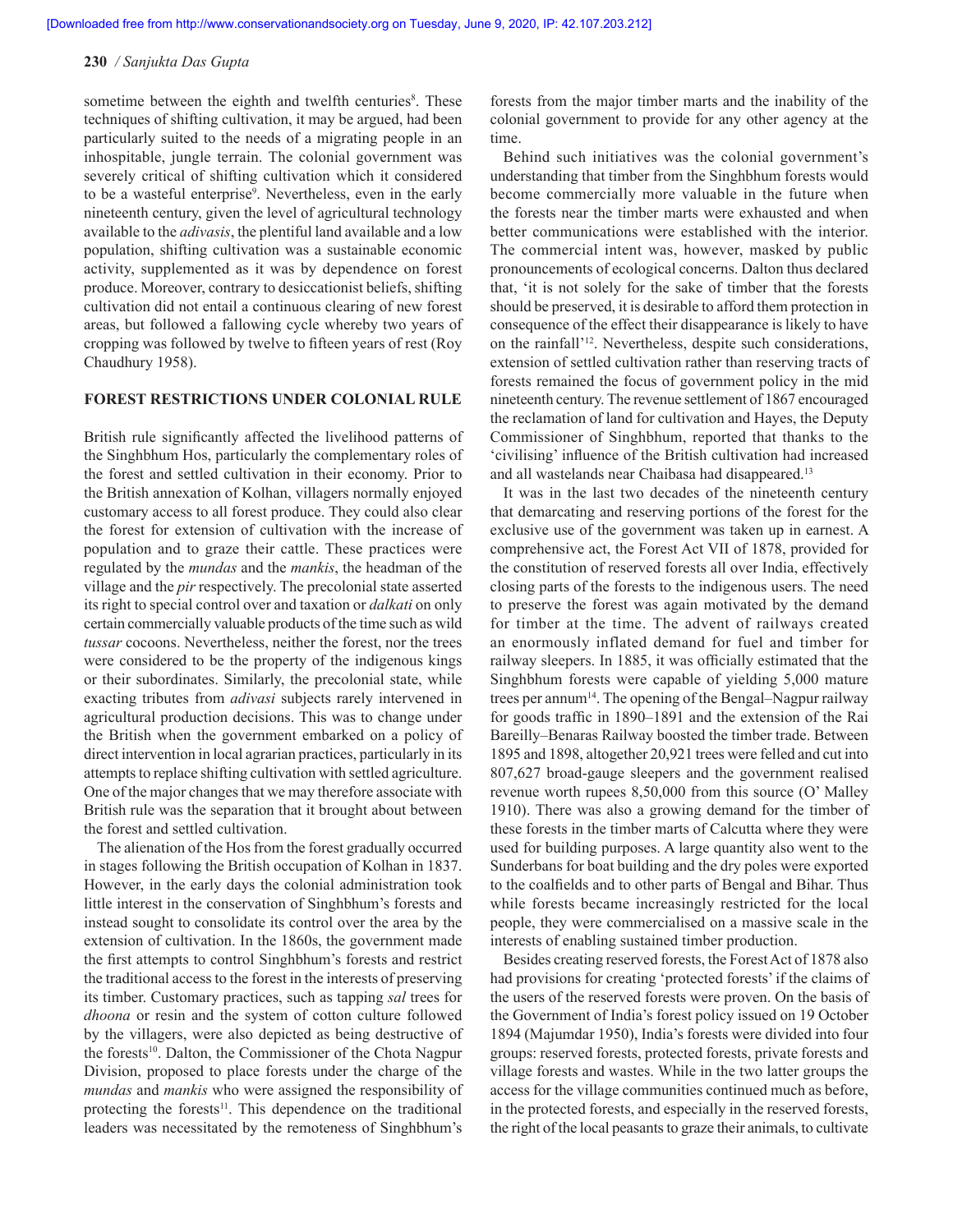sometime between the eighth and twelfth centuries<sup>8</sup>. These techniques of shifting cultivation, it may be argued, had been particularly suited to the needs of a migrating people in an inhospitable, jungle terrain. The colonial government was severely critical of shifting cultivation which it considered to be a wasteful enterprise<sup>9</sup>. Nevertheless, even in the early nineteenth century, given the level of agricultural technology available to the *adivasis*, the plentiful land available and a low population, shifting cultivation was a sustainable economic activity, supplemented as it was by dependence on forest produce. Moreover, contrary to desiccationist beliefs, shifting cultivation did not entail a continuous clearing of new forest areas, but followed a fallowing cycle whereby two years of cropping was followed by twelve to fifteen years of rest (Roy Chaudhury 1958).

#### **FOREST RESTRICTIONS UNDER COLONIAL RULE**

British rule significantly affected the livelihood patterns of the Singhbhum Hos, particularly the complementary roles of the forest and settled cultivation in their economy. Prior to the British annexation of Kolhan, villagers normally enjoyed customary access to all forest produce. They could also clear the forest for extension of cultivation with the increase of population and to graze their cattle. These practices were regulated by the *mundas* and the *mankis*, the headman of the village and the *pir* respectively. The precolonial state asserted its right to special control over and taxation or *dalkati* on only certain commercially valuable products of the time such as wild *tussar* cocoons. Nevertheless, neither the forest, nor the trees were considered to be the property of the indigenous kings or their subordinates. Similarly, the precolonial state, while exacting tributes from *adivasi* subjects rarely intervened in agricultural production decisions. This was to change under the British when the government embarked on a policy of direct intervention in local agrarian practices, particularly in its attempts to replace shifting cultivation with settled agriculture. One of the major changes that we may therefore associate with British rule was the separation that it brought about between the forest and settled cultivation.

The alienation of the Hos from the forest gradually occurred in stages following the British occupation of Kolhan in 1837. However, in the early days the colonial administration took little interest in the conservation of Singhbhum's forests and instead sought to consolidate its control over the area by the extension of cultivation. In the 1860s, the government made the first attempts to control Singhbhum's forests and restrict the traditional access to the forest in the interests of preserving its timber. Customary practices, such as tapping *sal* trees for *dhoona* or resin and the system of cotton culture followed by the villagers, were also depicted as being destructive of the forests<sup>10</sup>. Dalton, the Commissioner of the Chota Nagpur Division, proposed to place forests under the charge of the *mundas* and *mankis* who were assigned the responsibility of protecting the forests<sup>11</sup>. This dependence on the traditional leaders was necessitated by the remoteness of Singhbhum's

forests from the major timber marts and the inability of the colonial government to provide for any other agency at the time.

Behind such initiatives was the colonial government's understanding that timber from the Singhbhum forests would become commercially more valuable in the future when the forests near the timber marts were exhausted and when better communications were established with the interior. The commercial intent was, however, masked by public pronouncements of ecological concerns. Dalton thus declared that, 'it is not solely for the sake of timber that the forests should be preserved, it is desirable to afford them protection in consequence of the effect their disappearance is likely to have on the rainfall'12. Nevertheless, despite such considerations, extension of settled cultivation rather than reserving tracts of forests remained the focus of government policy in the mid nineteenth century. The revenue settlement of 1867 encouraged the reclamation of land for cultivation and Hayes, the Deputy Commissioner of Singhbhum, reported that thanks to the 'civilising' influence of the British cultivation had increased and all wastelands near Chaibasa had disappeared.13

It was in the last two decades of the nineteenth century that demarcating and reserving portions of the forest for the exclusive use of the government was taken up in earnest. A comprehensive act, the Forest Act VII of 1878, provided for the constitution of reserved forests all over India, effectively closing parts of the forests to the indigenous users. The need to preserve the forest was again motivated by the demand for timber at the time. The advent of railways created an enormously inflated demand for fuel and timber for railway sleepers. In 1885, it was officially estimated that the Singhbhum forests were capable of yielding 5,000 mature trees per annum14. The opening of the Bengal–Nagpur railway for goods traffic in 1890–1891 and the extension of the Rai Bareilly–Benaras Railway boosted the timber trade. Between 1895 and 1898, altogether 20,921 trees were felled and cut into 807,627 broad-gauge sleepers and the government realised revenue worth rupees 8,50,000 from this source (O' Malley 1910). There was also a growing demand for the timber of these forests in the timber marts of Calcutta where they were used for building purposes. A large quantity also went to the Sunderbans for boat building and the dry poles were exported to the coalfields and to other parts of Bengal and Bihar. Thus while forests became increasingly restricted for the local people, they were commercialised on a massive scale in the interests of enabling sustained timber production.

Besides creating reserved forests, the Forest Act of 1878 also had provisions for creating 'protected forests' if the claims of the users of the reserved forests were proven. On the basis of the Government of India's forest policy issued on 19 October 1894 (Majumdar 1950), India's forests were divided into four groups: reserved forests, protected forests, private forests and village forests and wastes. While in the two latter groups the access for the village communities continued much as before, in the protected forests, and especially in the reserved forests, the right of the local peasants to graze their animals, to cultivate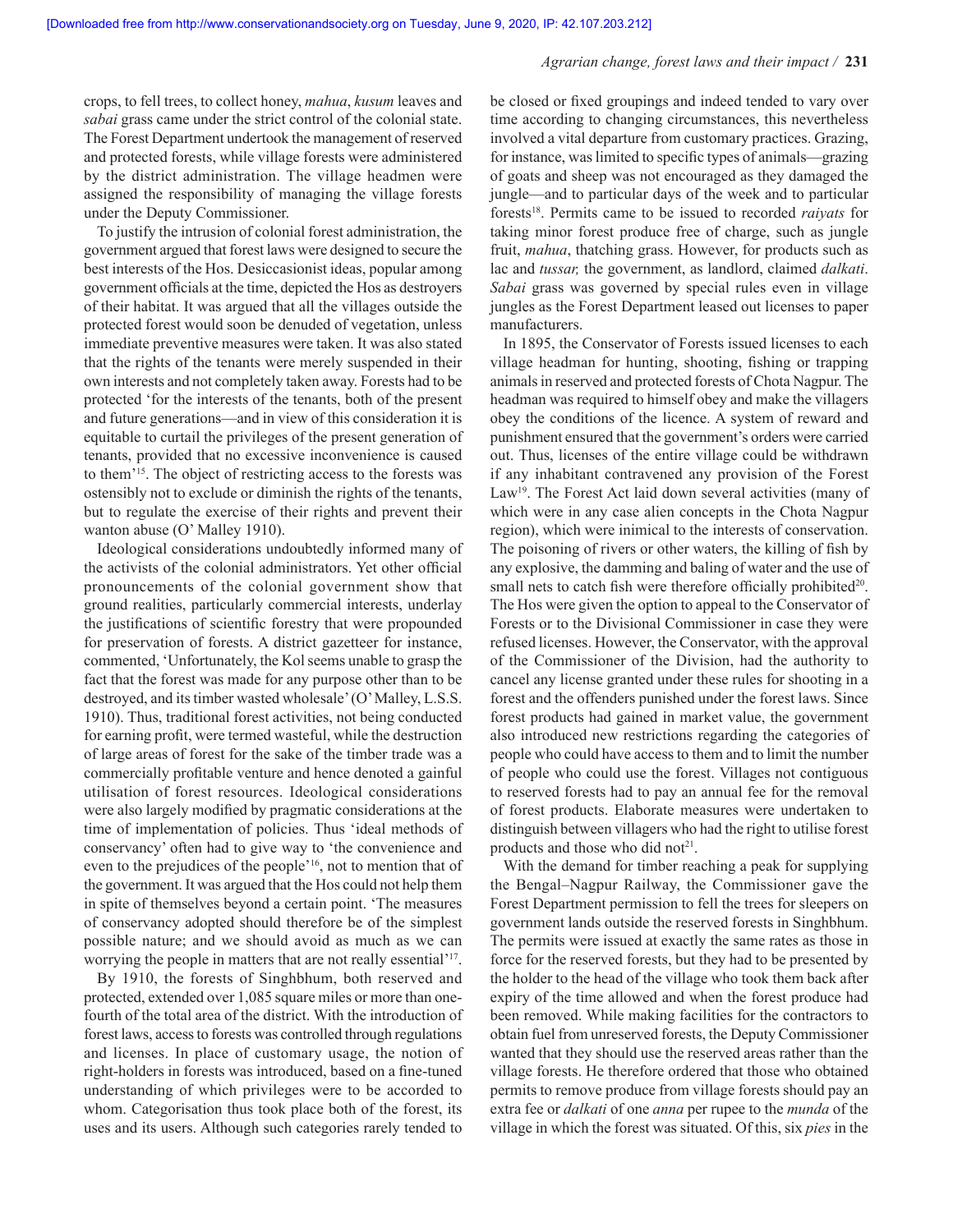crops, to fell trees, to collect honey, *mahua*, *kusum* leaves and *sabai* grass came under the strict control of the colonial state. The Forest Department undertook the management of reserved and protected forests, while village forests were administered by the district administration. The village headmen were assigned the responsibility of managing the village forests under the Deputy Commissioner.

To justify the intrusion of colonial forest administration, the government argued that forest laws were designed to secure the best interests of the Hos. Desiccasionist ideas, popular among government officials at the time, depicted the Hos as destroyers of their habitat. It was argued that all the villages outside the protected forest would soon be denuded of vegetation, unless immediate preventive measures were taken. It was also stated that the rights of the tenants were merely suspended in their own interests and not completely taken away. Forests had to be protected 'for the interests of the tenants, both of the present and future generations—and in view of this consideration it is equitable to curtail the privileges of the present generation of tenants, provided that no excessive inconvenience is caused to them'15. The object of restricting access to the forests was ostensibly not to exclude or diminish the rights of the tenants, but to regulate the exercise of their rights and prevent their wanton abuse (O' Malley 1910).

Ideological considerations undoubtedly informed many of the activists of the colonial administrators. Yet other official pronouncements of the colonial government show that ground realities, particularly commercial interests, underlay the justifications of scientific forestry that were propounded for preservation of forests. A district gazetteer for instance, commented, 'Unfortunately, the Kol seems unable to grasp the fact that the forest was made for any purpose other than to be destroyed, and its timber wasted wholesale' (O' Malley, L.S.S. 1910). Thus, traditional forest activities, not being conducted for earning profit, were termed wasteful, while the destruction of large areas of forest for the sake of the timber trade was a commercially profitable venture and hence denoted a gainful utilisation of forest resources. Ideological considerations were also largely modified by pragmatic considerations at the time of implementation of policies. Thus 'ideal methods of conservancy' often had to give way to 'the convenience and even to the prejudices of the people'16, not to mention that of the government. It was argued that the Hos could not help them in spite of themselves beyond a certain point. 'The measures of conservancy adopted should therefore be of the simplest possible nature; and we should avoid as much as we can worrying the people in matters that are not really essential'17.

By 1910, the forests of Singhbhum, both reserved and protected, extended over 1,085 square miles or more than onefourth of the total area of the district. With the introduction of forest laws, access to forests was controlled through regulations and licenses. In place of customary usage, the notion of right-holders in forests was introduced, based on a fine-tuned understanding of which privileges were to be accorded to whom. Categorisation thus took place both of the forest, its uses and its users. Although such categories rarely tended to be closed or fixed groupings and indeed tended to vary over time according to changing circumstances, this nevertheless involved a vital departure from customary practices. Grazing, for instance, was limited to specific types of animals—grazing of goats and sheep was not encouraged as they damaged the jungle—and to particular days of the week and to particular forests18. Permits came to be issued to recorded *raiyats* for taking minor forest produce free of charge, such as jungle fruit, *mahua*, thatching grass. However, for products such as lac and *tussar,* the government, as landlord, claimed *dalkati*. *Sabai* grass was governed by special rules even in village jungles as the Forest Department leased out licenses to paper manufacturers.

In 1895, the Conservator of Forests issued licenses to each village headman for hunting, shooting, fishing or trapping animals in reserved and protected forests of Chota Nagpur. The headman was required to himself obey and make the villagers obey the conditions of the licence. A system of reward and punishment ensured that the government's orders were carried out. Thus, licenses of the entire village could be withdrawn if any inhabitant contravened any provision of the Forest Law<sup>19</sup>. The Forest Act laid down several activities (many of which were in any case alien concepts in the Chota Nagpur region), which were inimical to the interests of conservation. The poisoning of rivers or other waters, the killing of fish by any explosive, the damming and baling of water and the use of small nets to catch fish were therefore officially prohibited<sup>20</sup>. The Hos were given the option to appeal to the Conservator of Forests or to the Divisional Commissioner in case they were refused licenses. However, the Conservator, with the approval of the Commissioner of the Division, had the authority to cancel any license granted under these rules for shooting in a forest and the offenders punished under the forest laws. Since forest products had gained in market value, the government also introduced new restrictions regarding the categories of people who could have access to them and to limit the number of people who could use the forest. Villages not contiguous to reserved forests had to pay an annual fee for the removal of forest products. Elaborate measures were undertaken to distinguish between villagers who had the right to utilise forest products and those who did not<sup>21</sup>.

With the demand for timber reaching a peak for supplying the Bengal–Nagpur Railway, the Commissioner gave the Forest Department permission to fell the trees for sleepers on government lands outside the reserved forests in Singhbhum. The permits were issued at exactly the same rates as those in force for the reserved forests, but they had to be presented by the holder to the head of the village who took them back after expiry of the time allowed and when the forest produce had been removed. While making facilities for the contractors to obtain fuel from unreserved forests, the Deputy Commissioner wanted that they should use the reserved areas rather than the village forests. He therefore ordered that those who obtained permits to remove produce from village forests should pay an extra fee or *dalkati* of one *anna* per rupee to the *munda* of the village in which the forest was situated. Of this, six *pies* in the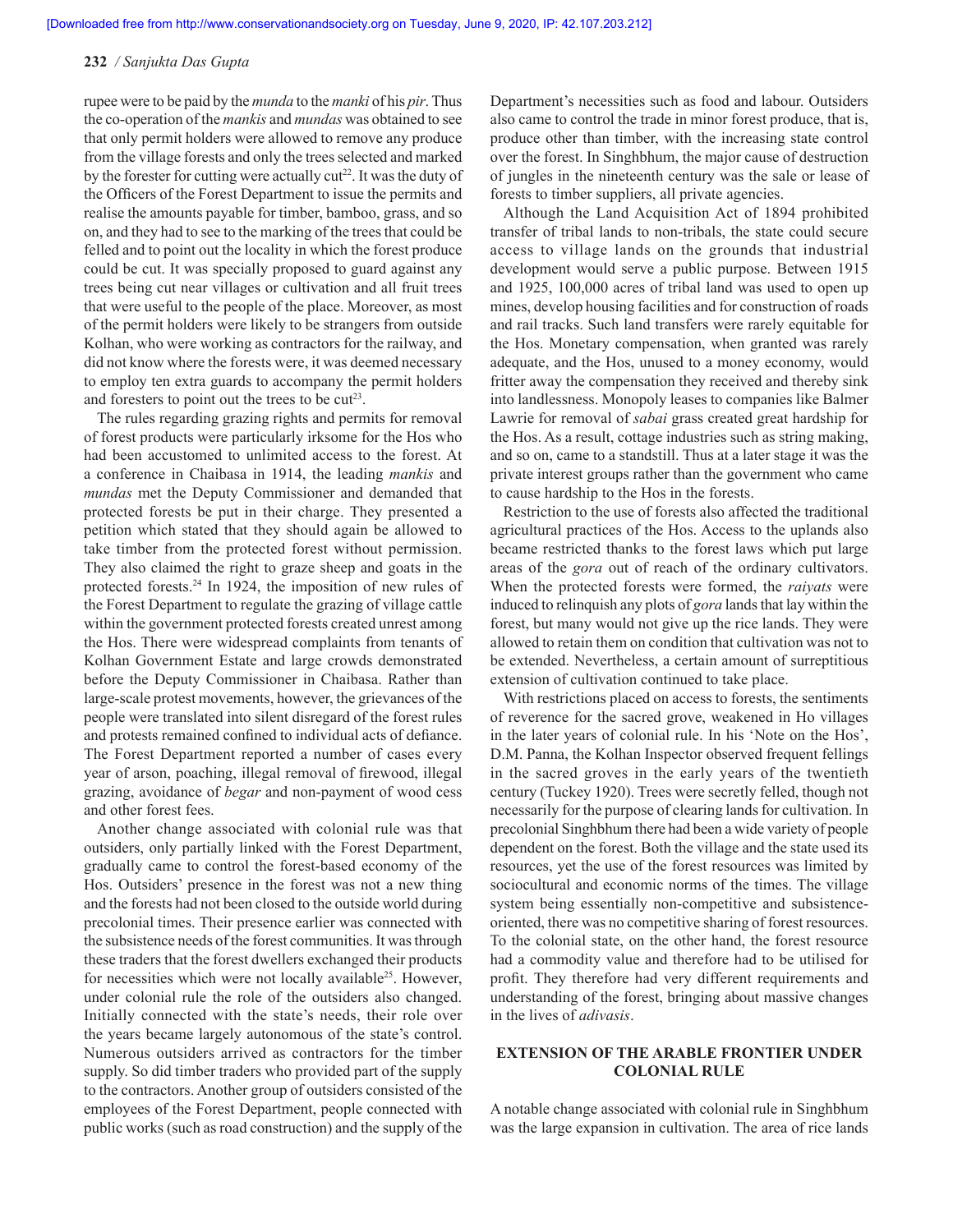rupee were to be paid by the *munda* to the *manki* of his *pir*. Thus the co-operation of the *mankis* and *mundas* was obtained to see that only permit holders were allowed to remove any produce from the village forests and only the trees selected and marked by the forester for cutting were actually  $cut^{22}$ . It was the duty of the Officers of the Forest Department to issue the permits and realise the amounts payable for timber, bamboo, grass, and so on, and they had to see to the marking of the trees that could be felled and to point out the locality in which the forest produce could be cut. It was specially proposed to guard against any trees being cut near villages or cultivation and all fruit trees that were useful to the people of the place. Moreover, as most of the permit holders were likely to be strangers from outside Kolhan, who were working as contractors for the railway, and did not know where the forests were, it was deemed necessary to employ ten extra guards to accompany the permit holders and foresters to point out the trees to be  $cut^{23}$ .

The rules regarding grazing rights and permits for removal of forest products were particularly irksome for the Hos who had been accustomed to unlimited access to the forest. At a conference in Chaibasa in 1914, the leading *mankis* and *mundas* met the Deputy Commissioner and demanded that protected forests be put in their charge. They presented a petition which stated that they should again be allowed to take timber from the protected forest without permission. They also claimed the right to graze sheep and goats in the protected forests.24 In 1924, the imposition of new rules of the Forest Department to regulate the grazing of village cattle within the government protected forests created unrest among the Hos. There were widespread complaints from tenants of Kolhan Government Estate and large crowds demonstrated before the Deputy Commissioner in Chaibasa. Rather than large-scale protest movements, however, the grievances of the people were translated into silent disregard of the forest rules and protests remained confined to individual acts of defiance. The Forest Department reported a number of cases every year of arson, poaching, illegal removal of firewood, illegal grazing, avoidance of *begar* and non-payment of wood cess and other forest fees.

Another change associated with colonial rule was that outsiders, only partially linked with the Forest Department, gradually came to control the forest-based economy of the Hos. Outsiders' presence in the forest was not a new thing and the forests had not been closed to the outside world during precolonial times. Their presence earlier was connected with the subsistence needs of the forest communities. It was through these traders that the forest dwellers exchanged their products for necessities which were not locally available<sup>25</sup>. However, under colonial rule the role of the outsiders also changed. Initially connected with the state's needs, their role over the years became largely autonomous of the state's control. Numerous outsiders arrived as contractors for the timber supply. So did timber traders who provided part of the supply to the contractors. Another group of outsiders consisted of the employees of the Forest Department, people connected with public works (such as road construction) and the supply of the Department's necessities such as food and labour. Outsiders also came to control the trade in minor forest produce, that is, produce other than timber, with the increasing state control over the forest. In Singhbhum, the major cause of destruction of jungles in the nineteenth century was the sale or lease of forests to timber suppliers, all private agencies.

Although the Land Acquisition Act of 1894 prohibited transfer of tribal lands to non-tribals, the state could secure access to village lands on the grounds that industrial development would serve a public purpose. Between 1915 and 1925, 100,000 acres of tribal land was used to open up mines, develop housing facilities and for construction of roads and rail tracks. Such land transfers were rarely equitable for the Hos. Monetary compensation, when granted was rarely adequate, and the Hos, unused to a money economy, would fritter away the compensation they received and thereby sink into landlessness. Monopoly leases to companies like Balmer Lawrie for removal of *sabai* grass created great hardship for the Hos. As a result, cottage industries such as string making, and so on, came to a standstill. Thus at a later stage it was the private interest groups rather than the government who came to cause hardship to the Hos in the forests.

Restriction to the use of forests also affected the traditional agricultural practices of the Hos. Access to the uplands also became restricted thanks to the forest laws which put large areas of the *gora* out of reach of the ordinary cultivators. When the protected forests were formed, the *raiyats* were induced to relinquish any plots of *gora* lands that lay within the forest, but many would not give up the rice lands. They were allowed to retain them on condition that cultivation was not to be extended. Nevertheless, a certain amount of surreptitious extension of cultivation continued to take place.

With restrictions placed on access to forests, the sentiments of reverence for the sacred grove, weakened in Ho villages in the later years of colonial rule. In his 'Note on the Hos', D.M. Panna, the Kolhan Inspector observed frequent fellings in the sacred groves in the early years of the twentieth century (Tuckey 1920). Trees were secretly felled, though not necessarily for the purpose of clearing lands for cultivation. In precolonial Singhbhum there had been a wide variety of people dependent on the forest. Both the village and the state used its resources, yet the use of the forest resources was limited by sociocultural and economic norms of the times. The village system being essentially non-competitive and subsistenceoriented, there was no competitive sharing of forest resources. To the colonial state, on the other hand, the forest resource had a commodity value and therefore had to be utilised for profit. They therefore had very different requirements and understanding of the forest, bringing about massive changes in the lives of *adivasis*.

# **EXTENSION OF THE ARABLE FRONTIER UNDER COLONIAL RULE**

A notable change associated with colonial rule in Singhbhum was the large expansion in cultivation. The area of rice lands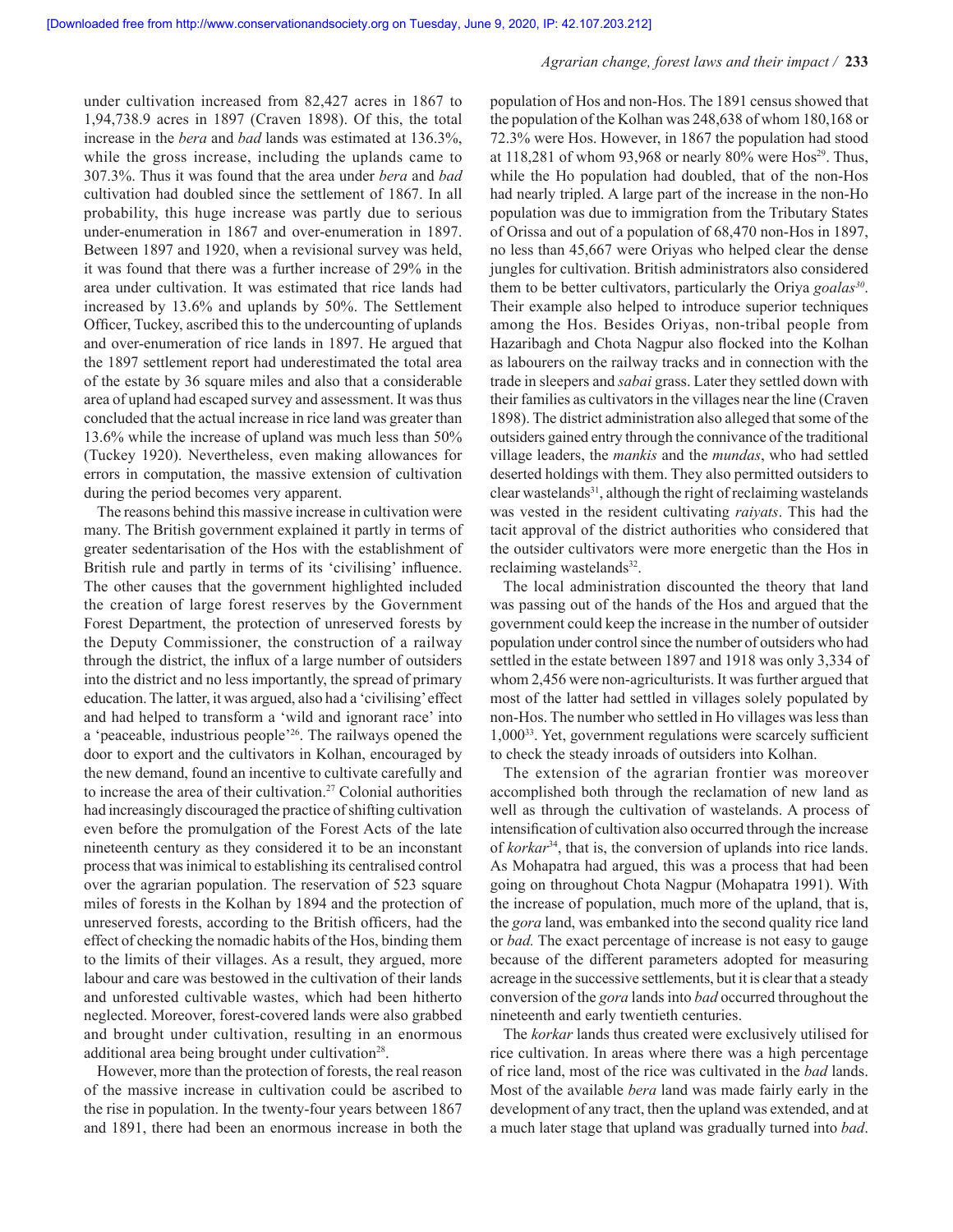under cultivation increased from 82,427 acres in 1867 to 1,94,738.9 acres in 1897 (Craven 1898). Of this, the total increase in the *bera* and *bad* lands was estimated at 136.3%, while the gross increase, including the uplands came to 307.3%. Thus it was found that the area under *bera* and *bad*  cultivation had doubled since the settlement of 1867. In all probability, this huge increase was partly due to serious under-enumeration in 1867 and over-enumeration in 1897. Between 1897 and 1920, when a revisional survey was held, it was found that there was a further increase of 29% in the area under cultivation. It was estimated that rice lands had increased by 13.6% and uplands by 50%. The Settlement Officer, Tuckey, ascribed this to the undercounting of uplands and over-enumeration of rice lands in 1897. He argued that the 1897 settlement report had underestimated the total area of the estate by 36 square miles and also that a considerable area of upland had escaped survey and assessment. It was thus concluded that the actual increase in rice land was greater than 13.6% while the increase of upland was much less than 50% (Tuckey 1920). Nevertheless, even making allowances for errors in computation, the massive extension of cultivation during the period becomes very apparent.

The reasons behind this massive increase in cultivation were many. The British government explained it partly in terms of greater sedentarisation of the Hos with the establishment of British rule and partly in terms of its 'civilising' influence. The other causes that the government highlighted included the creation of large forest reserves by the Government Forest Department, the protection of unreserved forests by the Deputy Commissioner, the construction of a railway through the district, the influx of a large number of outsiders into the district and no less importantly, the spread of primary education. The latter, it was argued, also had a 'civilising' effect and had helped to transform a 'wild and ignorant race' into a 'peaceable, industrious people'26. The railways opened the door to export and the cultivators in Kolhan, encouraged by the new demand, found an incentive to cultivate carefully and to increase the area of their cultivation.27 Colonial authorities had increasingly discouraged the practice of shifting cultivation even before the promulgation of the Forest Acts of the late nineteenth century as they considered it to be an inconstant process that was inimical to establishing its centralised control over the agrarian population. The reservation of 523 square miles of forests in the Kolhan by 1894 and the protection of unreserved forests, according to the British officers, had the effect of checking the nomadic habits of the Hos, binding them to the limits of their villages. As a result, they argued, more labour and care was bestowed in the cultivation of their lands and unforested cultivable wastes, which had been hitherto neglected. Moreover, forest-covered lands were also grabbed and brought under cultivation, resulting in an enormous additional area being brought under cultivation<sup>28</sup>.

However, more than the protection of forests, the real reason of the massive increase in cultivation could be ascribed to the rise in population. In the twenty-four years between 1867 and 1891, there had been an enormous increase in both the population of Hos and non-Hos. The 1891 census showed that the population of the Kolhan was 248,638 of whom 180,168 or 72.3% were Hos. However, in 1867 the population had stood at 118,281 of whom 93,968 or nearly 80% were Hos<sup>29</sup>. Thus, while the Ho population had doubled, that of the non-Hos had nearly tripled. A large part of the increase in the non-Ho population was due to immigration from the Tributary States of Orissa and out of a population of 68,470 non-Hos in 1897, no less than 45,667 were Oriyas who helped clear the dense jungles for cultivation. British administrators also considered them to be better cultivators, particularly the Oriya *goalas<sup>30</sup>*. Their example also helped to introduce superior techniques among the Hos. Besides Oriyas, non-tribal people from Hazaribagh and Chota Nagpur also flocked into the Kolhan as labourers on the railway tracks and in connection with the trade in sleepers and *sabai* grass. Later they settled down with their families as cultivators in the villages near the line (Craven 1898). The district administration also alleged that some of the outsiders gained entry through the connivance of the traditional village leaders, the *mankis* and the *mundas*, who had settled deserted holdings with them. They also permitted outsiders to clear wastelands $31$ , although the right of reclaiming wastelands was vested in the resident cultivating *raiyats*. This had the tacit approval of the district authorities who considered that the outsider cultivators were more energetic than the Hos in reclaiming wastelands<sup>32</sup>.

The local administration discounted the theory that land was passing out of the hands of the Hos and argued that the government could keep the increase in the number of outsider population under control since the number of outsiders who had settled in the estate between 1897 and 1918 was only 3,334 of whom 2,456 were non-agriculturists. It was further argued that most of the latter had settled in villages solely populated by non-Hos. The number who settled in Ho villages was less than  $1,000^{33}$ . Yet, government regulations were scarcely sufficient to check the steady inroads of outsiders into Kolhan.

The extension of the agrarian frontier was moreover accomplished both through the reclamation of new land as well as through the cultivation of wastelands. A process of intensification of cultivation also occurred through the increase of *korkar*34, that is, the conversion of uplands into rice lands. As Mohapatra had argued, this was a process that had been going on throughout Chota Nagpur (Mohapatra 1991). With the increase of population, much more of the upland, that is, the *gora* land, was embanked into the second quality rice land or *bad.* The exact percentage of increase is not easy to gauge because of the different parameters adopted for measuring acreage in the successive settlements, but it is clear that a steady conversion of the *gora* lands into *bad* occurred throughout the nineteenth and early twentieth centuries.

The *korkar* lands thus created were exclusively utilised for rice cultivation. In areas where there was a high percentage of rice land, most of the rice was cultivated in the *bad* lands. Most of the available *bera* land was made fairly early in the development of any tract, then the upland was extended, and at a much later stage that upland was gradually turned into *bad*.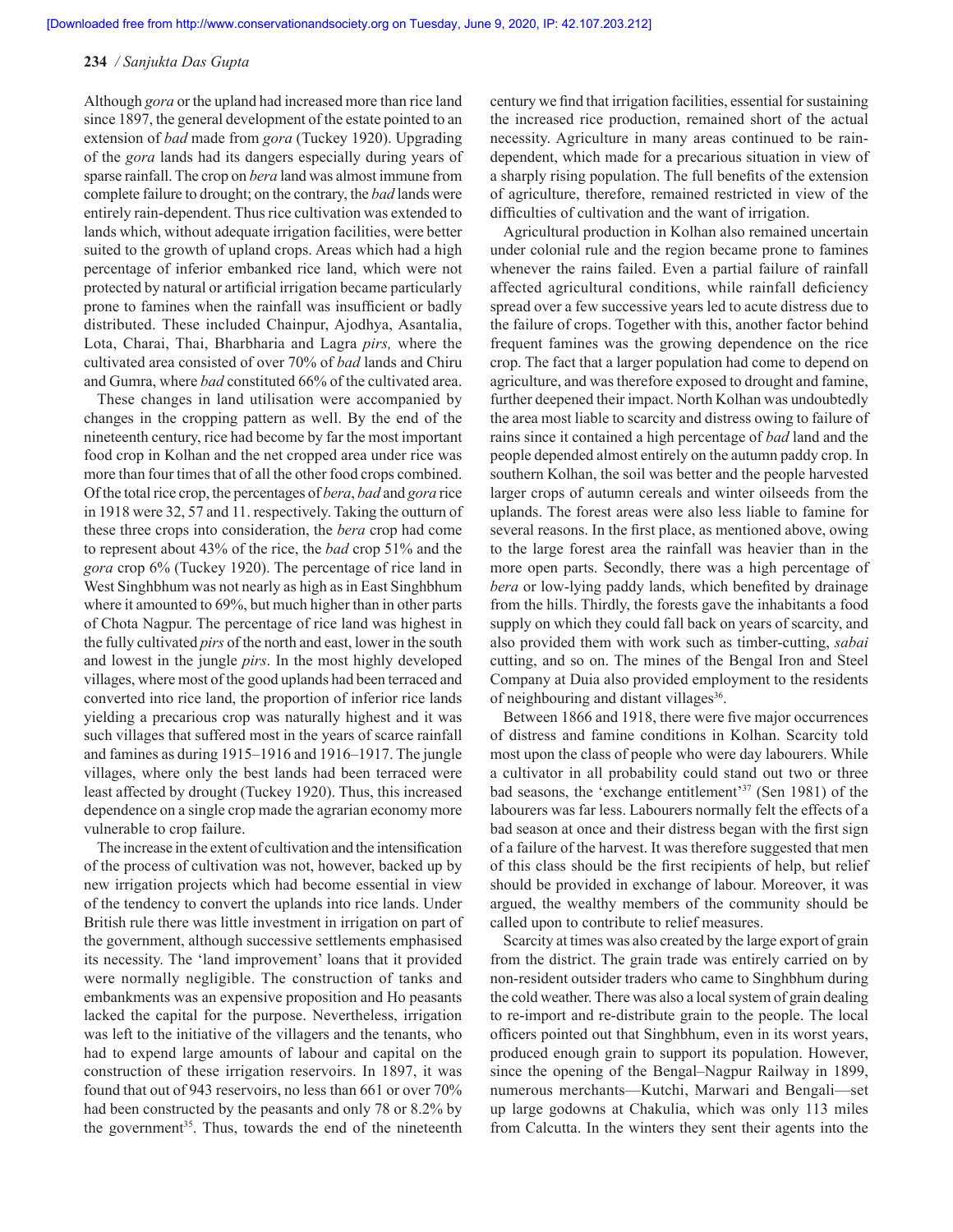Although *gora* or the upland had increased more than rice land since 1897, the general development of the estate pointed to an extension of *bad* made from *gora* (Tuckey 1920). Upgrading of the *gora* lands had its dangers especially during years of sparse rainfall. The crop on *bera* land was almost immune from complete failure to drought; on the contrary, the *bad* lands were entirely rain-dependent. Thus rice cultivation was extended to lands which, without adequate irrigation facilities, were better suited to the growth of upland crops. Areas which had a high percentage of inferior embanked rice land, which were not protected by natural or artificial irrigation became particularly prone to famines when the rainfall was insufficient or badly distributed. These included Chainpur, Ajodhya, Asantalia, Lota, Charai, Thai, Bharbharia and Lagra *pirs,* where the cultivated area consisted of over 70% of *bad* lands and Chiru and Gumra, where *bad* constituted 66% of the cultivated area.

These changes in land utilisation were accompanied by changes in the cropping pattern as well. By the end of the nineteenth century, rice had become by far the most important food crop in Kolhan and the net cropped area under rice was more than four times that of all the other food crops combined. Of the total rice crop, the percentages of *bera*, *bad* and *gora* rice in 1918 were 32, 57 and 11. respectively. Taking the outturn of these three crops into consideration, the *bera* crop had come to represent about 43% of the rice, the *bad* crop 51% and the *gora* crop 6% (Tuckey 1920). The percentage of rice land in West Singhbhum was not nearly as high as in East Singhbhum where it amounted to 69%, but much higher than in other parts of Chota Nagpur. The percentage of rice land was highest in the fully cultivated *pirs* of the north and east, lower in the south and lowest in the jungle *pirs*. In the most highly developed villages, where most of the good uplands had been terraced and converted into rice land, the proportion of inferior rice lands yielding a precarious crop was naturally highest and it was such villages that suffered most in the years of scarce rainfall and famines as during 1915–1916 and 1916–1917. The jungle villages, where only the best lands had been terraced were least affected by drought (Tuckey 1920). Thus, this increased dependence on a single crop made the agrarian economy more vulnerable to crop failure.

The increase in the extent of cultivation and the intensification of the process of cultivation was not, however, backed up by new irrigation projects which had become essential in view of the tendency to convert the uplands into rice lands. Under British rule there was little investment in irrigation on part of the government, although successive settlements emphasised its necessity. The 'land improvement' loans that it provided were normally negligible. The construction of tanks and embankments was an expensive proposition and Ho peasants lacked the capital for the purpose. Nevertheless, irrigation was left to the initiative of the villagers and the tenants, who had to expend large amounts of labour and capital on the construction of these irrigation reservoirs. In 1897, it was found that out of 943 reservoirs, no less than 661 or over 70% had been constructed by the peasants and only 78 or 8.2% by the government<sup>35</sup>. Thus, towards the end of the nineteenth century we find that irrigation facilities, essential for sustaining the increased rice production, remained short of the actual necessity. Agriculture in many areas continued to be raindependent, which made for a precarious situation in view of a sharply rising population. The full benefits of the extension of agriculture, therefore, remained restricted in view of the difficulties of cultivation and the want of irrigation.

Agricultural production in Kolhan also remained uncertain under colonial rule and the region became prone to famines whenever the rains failed. Even a partial failure of rainfall affected agricultural conditions, while rainfall deficiency spread over a few successive years led to acute distress due to the failure of crops. Together with this, another factor behind frequent famines was the growing dependence on the rice crop. The fact that a larger population had come to depend on agriculture, and was therefore exposed to drought and famine, further deepened their impact. North Kolhan was undoubtedly the area most liable to scarcity and distress owing to failure of rains since it contained a high percentage of *bad* land and the people depended almost entirely on the autumn paddy crop. In southern Kolhan, the soil was better and the people harvested larger crops of autumn cereals and winter oilseeds from the uplands. The forest areas were also less liable to famine for several reasons. In the first place, as mentioned above, owing to the large forest area the rainfall was heavier than in the more open parts. Secondly, there was a high percentage of *bera* or low-lying paddy lands, which benefited by drainage from the hills. Thirdly, the forests gave the inhabitants a food supply on which they could fall back on years of scarcity, and also provided them with work such as timber-cutting, *sabai*  cutting, and so on. The mines of the Bengal Iron and Steel Company at Duia also provided employment to the residents of neighbouring and distant villages<sup>36</sup>.

Between 1866 and 1918, there were five major occurrences of distress and famine conditions in Kolhan. Scarcity told most upon the class of people who were day labourers. While a cultivator in all probability could stand out two or three bad seasons, the 'exchange entitlement'37 (Sen 1981) of the labourers was far less. Labourers normally felt the effects of a bad season at once and their distress began with the first sign of a failure of the harvest. It was therefore suggested that men of this class should be the first recipients of help, but relief should be provided in exchange of labour. Moreover, it was argued, the wealthy members of the community should be called upon to contribute to relief measures.

Scarcity at times was also created by the large export of grain from the district. The grain trade was entirely carried on by non-resident outsider traders who came to Singhbhum during the cold weather. There was also a local system of grain dealing to re-import and re-distribute grain to the people. The local officers pointed out that Singhbhum, even in its worst years, produced enough grain to support its population. However, since the opening of the Bengal–Nagpur Railway in 1899, numerous merchants—Kutchi, Marwari and Bengali—set up large godowns at Chakulia, which was only 113 miles from Calcutta. In the winters they sent their agents into the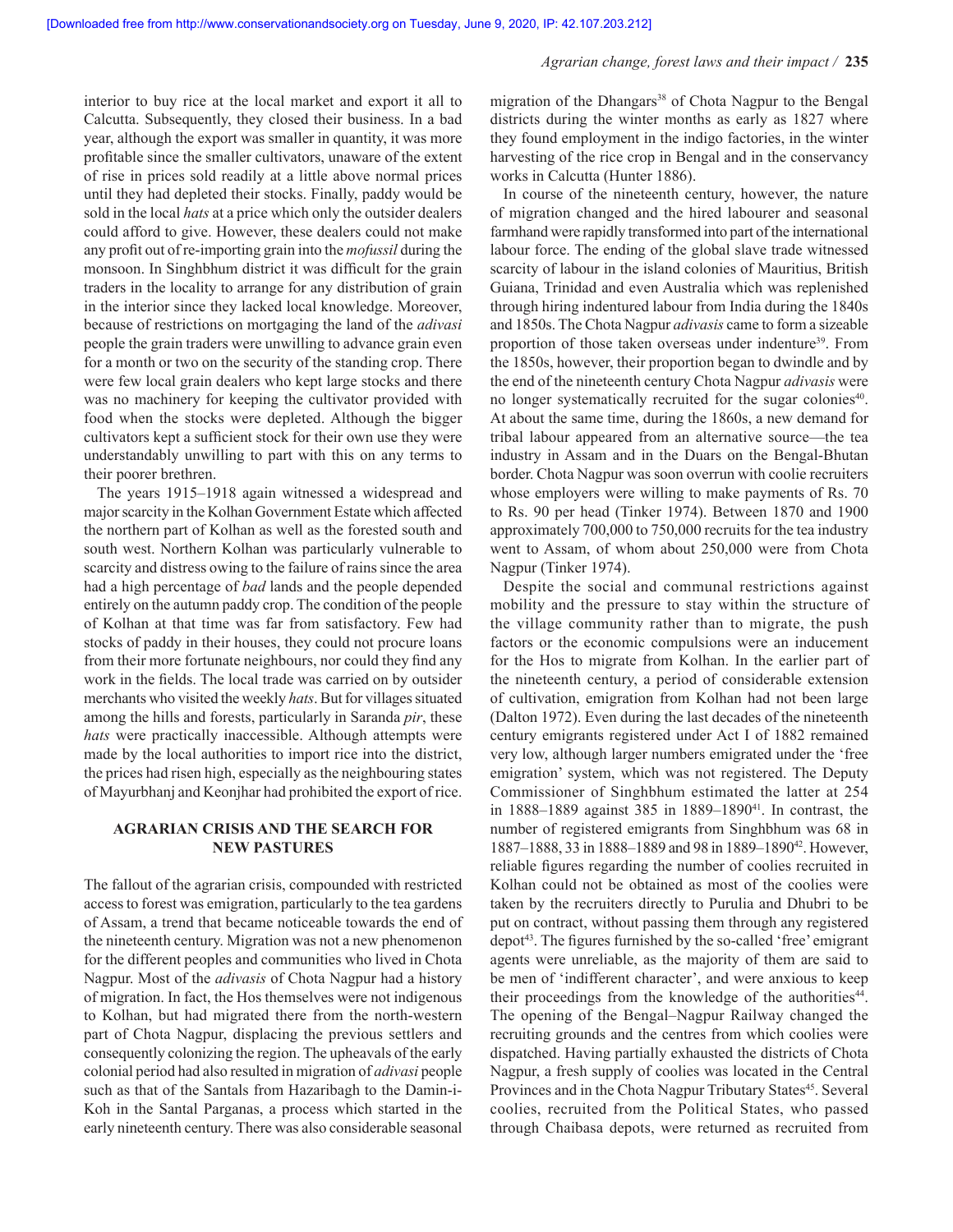interior to buy rice at the local market and export it all to Calcutta. Subsequently, they closed their business. In a bad year, although the export was smaller in quantity, it was more profitable since the smaller cultivators, unaware of the extent of rise in prices sold readily at a little above normal prices until they had depleted their stocks. Finally, paddy would be sold in the local *hats* at a price which only the outsider dealers could afford to give. However, these dealers could not make any profit out of re-importing grain into the *mofussil* during the monsoon. In Singhbhum district it was difficult for the grain traders in the locality to arrange for any distribution of grain in the interior since they lacked local knowledge. Moreover, because of restrictions on mortgaging the land of the *adivasi*  people the grain traders were unwilling to advance grain even for a month or two on the security of the standing crop. There were few local grain dealers who kept large stocks and there was no machinery for keeping the cultivator provided with food when the stocks were depleted. Although the bigger cultivators kept a sufficient stock for their own use they were understandably unwilling to part with this on any terms to their poorer brethren.

The years 1915–1918 again witnessed a widespread and major scarcity in the Kolhan Government Estate which affected the northern part of Kolhan as well as the forested south and south west. Northern Kolhan was particularly vulnerable to scarcity and distress owing to the failure of rains since the area had a high percentage of *bad* lands and the people depended entirely on the autumn paddy crop. The condition of the people of Kolhan at that time was far from satisfactory. Few had stocks of paddy in their houses, they could not procure loans from their more fortunate neighbours, nor could they find any work in the fields. The local trade was carried on by outsider merchants who visited the weekly *hats*. But for villages situated among the hills and forests, particularly in Saranda *pir*, these *hats* were practically inaccessible. Although attempts were made by the local authorities to import rice into the district, the prices had risen high, especially as the neighbouring states of Mayurbhanj and Keonjhar had prohibited the export of rice.

# **AGRARIAN CRISIS AND THE SEARCH FOR NEW PASTURES**

The fallout of the agrarian crisis, compounded with restricted access to forest was emigration, particularly to the tea gardens of Assam, a trend that became noticeable towards the end of the nineteenth century. Migration was not a new phenomenon for the different peoples and communities who lived in Chota Nagpur. Most of the *adivasis* of Chota Nagpur had a history of migration. In fact, the Hos themselves were not indigenous to Kolhan, but had migrated there from the north-western part of Chota Nagpur, displacing the previous settlers and consequently colonizing the region. The upheavals of the early colonial period had also resulted in migration of *adivasi* people such as that of the Santals from Hazaribagh to the Damin-i-Koh in the Santal Parganas, a process which started in the early nineteenth century. There was also considerable seasonal migration of the Dhangars<sup>38</sup> of Chota Nagpur to the Bengal districts during the winter months as early as 1827 where they found employment in the indigo factories, in the winter harvesting of the rice crop in Bengal and in the conservancy works in Calcutta (Hunter 1886).

In course of the nineteenth century, however, the nature of migration changed and the hired labourer and seasonal farmhand were rapidly transformed into part of the international labour force. The ending of the global slave trade witnessed scarcity of labour in the island colonies of Mauritius, British Guiana, Trinidad and even Australia which was replenished through hiring indentured labour from India during the 1840s and 1850s. The Chota Nagpur *adivasis* came to form a sizeable proportion of those taken overseas under indenture<sup>39</sup>. From the 1850s, however, their proportion began to dwindle and by the end of the nineteenth century Chota Nagpur *adivasis* were no longer systematically recruited for the sugar colonies<sup>40</sup>. At about the same time, during the 1860s, a new demand for tribal labour appeared from an alternative source—the tea industry in Assam and in the Duars on the Bengal-Bhutan border. Chota Nagpur was soon overrun with coolie recruiters whose employers were willing to make payments of Rs. 70 to Rs. 90 per head (Tinker 1974). Between 1870 and 1900 approximately 700,000 to 750,000 recruits for the tea industry went to Assam, of whom about 250,000 were from Chota Nagpur (Tinker 1974).

Despite the social and communal restrictions against mobility and the pressure to stay within the structure of the village community rather than to migrate, the push factors or the economic compulsions were an inducement for the Hos to migrate from Kolhan. In the earlier part of the nineteenth century, a period of considerable extension of cultivation, emigration from Kolhan had not been large (Dalton 1972). Even during the last decades of the nineteenth century emigrants registered under Act I of 1882 remained very low, although larger numbers emigrated under the 'free emigration' system, which was not registered. The Deputy Commissioner of Singhbhum estimated the latter at 254 in 1888–1889 against 385 in 1889–189041. In contrast, the number of registered emigrants from Singhbhum was 68 in 1887–1888, 33 in 1888–1889 and 98 in 1889–1890<sup>42</sup>. However, reliable figures regarding the number of coolies recruited in Kolhan could not be obtained as most of the coolies were taken by the recruiters directly to Purulia and Dhubri to be put on contract, without passing them through any registered depot<sup>43</sup>. The figures furnished by the so-called 'free' emigrant agents were unreliable, as the majority of them are said to be men of 'indifferent character', and were anxious to keep their proceedings from the knowledge of the authorities<sup>44</sup>. The opening of the Bengal–Nagpur Railway changed the recruiting grounds and the centres from which coolies were dispatched. Having partially exhausted the districts of Chota Nagpur, a fresh supply of coolies was located in the Central Provinces and in the Chota Nagpur Tributary States<sup>45</sup>. Several coolies, recruited from the Political States, who passed through Chaibasa depots, were returned as recruited from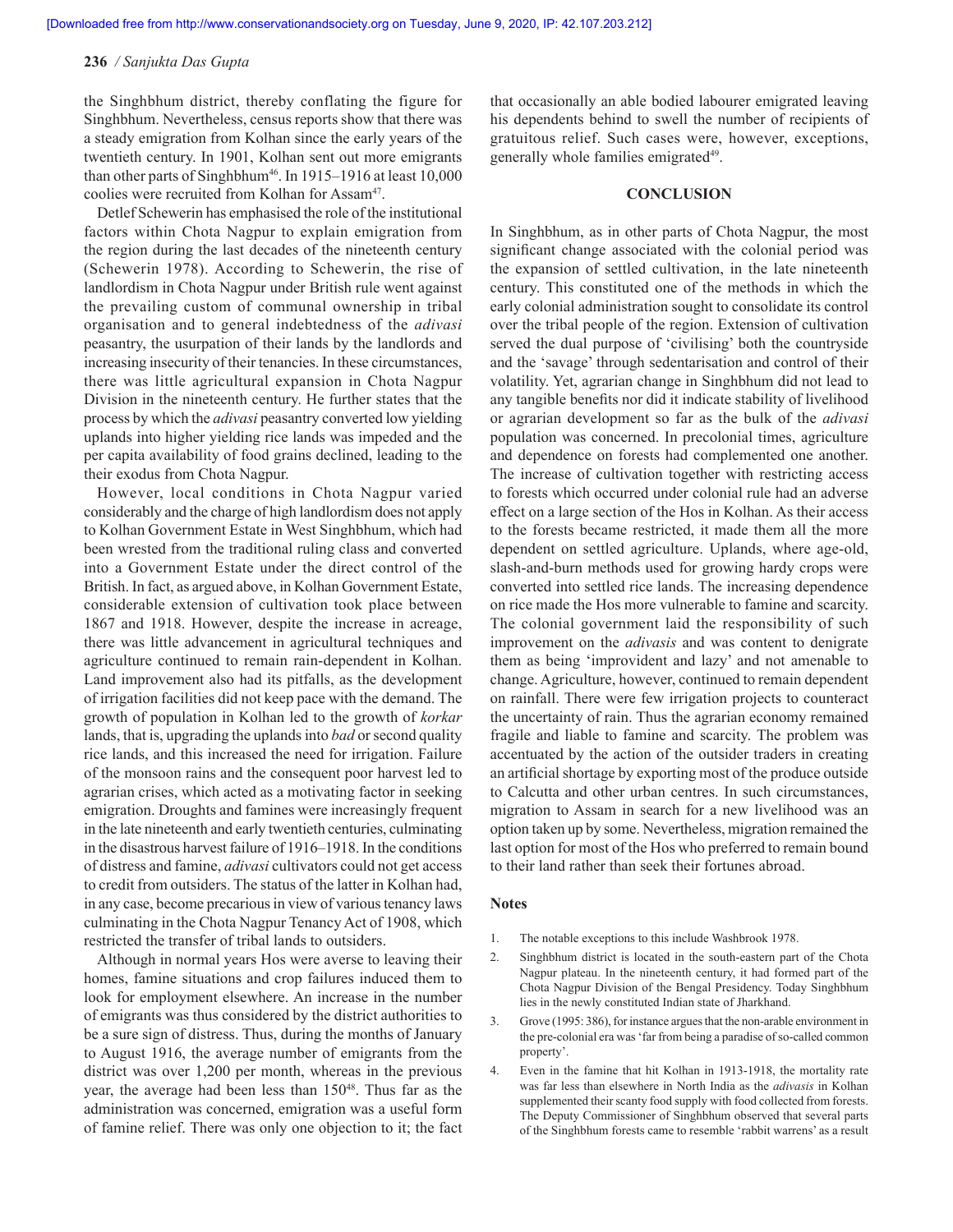the Singhbhum district, thereby conflating the figure for Singhbhum. Nevertheless, census reports show that there was a steady emigration from Kolhan since the early years of the twentieth century. In 1901, Kolhan sent out more emigrants than other parts of Singhbhum<sup>46</sup>. In 1915–1916 at least  $10,000$ coolies were recruited from Kolhan for Assam<sup>47</sup>.

Detlef Schewerin has emphasised the role of the institutional factors within Chota Nagpur to explain emigration from the region during the last decades of the nineteenth century (Schewerin 1978). According to Schewerin, the rise of landlordism in Chota Nagpur under British rule went against the prevailing custom of communal ownership in tribal organisation and to general indebtedness of the *adivasi*  peasantry, the usurpation of their lands by the landlords and increasing insecurity of their tenancies. In these circumstances, there was little agricultural expansion in Chota Nagpur Division in the nineteenth century. He further states that the process by which the *adivasi* peasantry converted low yielding uplands into higher yielding rice lands was impeded and the per capita availability of food grains declined, leading to the their exodus from Chota Nagpur.

However, local conditions in Chota Nagpur varied considerably and the charge of high landlordism does not apply to Kolhan Government Estate in West Singhbhum, which had been wrested from the traditional ruling class and converted into a Government Estate under the direct control of the British. In fact, as argued above, in Kolhan Government Estate, considerable extension of cultivation took place between 1867 and 1918. However, despite the increase in acreage, there was little advancement in agricultural techniques and agriculture continued to remain rain-dependent in Kolhan. Land improvement also had its pitfalls, as the development of irrigation facilities did not keep pace with the demand. The growth of population in Kolhan led to the growth of *korkar*  lands, that is, upgrading the uplands into *bad* or second quality rice lands, and this increased the need for irrigation. Failure of the monsoon rains and the consequent poor harvest led to agrarian crises, which acted as a motivating factor in seeking emigration. Droughts and famines were increasingly frequent in the late nineteenth and early twentieth centuries, culminating in the disastrous harvest failure of 1916–1918. In the conditions of distress and famine, *adivasi* cultivators could not get access to credit from outsiders. The status of the latter in Kolhan had, in any case, become precarious in view of various tenancy laws culminating in the Chota Nagpur Tenancy Act of 1908, which restricted the transfer of tribal lands to outsiders.

Although in normal years Hos were averse to leaving their homes, famine situations and crop failures induced them to look for employment elsewhere. An increase in the number of emigrants was thus considered by the district authorities to be a sure sign of distress. Thus, during the months of January to August 1916, the average number of emigrants from the district was over 1,200 per month, whereas in the previous year, the average had been less than 150<sup>48</sup>. Thus far as the administration was concerned, emigration was a useful form of famine relief. There was only one objection to it; the fact that occasionally an able bodied labourer emigrated leaving his dependents behind to swell the number of recipients of gratuitous relief. Such cases were, however, exceptions, generally whole families emigrated<sup>49</sup>.

#### **CONCLUSION**

In Singhbhum, as in other parts of Chota Nagpur, the most significant change associated with the colonial period was the expansion of settled cultivation, in the late nineteenth century. This constituted one of the methods in which the early colonial administration sought to consolidate its control over the tribal people of the region. Extension of cultivation served the dual purpose of 'civilising' both the countryside and the 'savage' through sedentarisation and control of their volatility. Yet, agrarian change in Singhbhum did not lead to any tangible benefits nor did it indicate stability of livelihood or agrarian development so far as the bulk of the *adivasi*  population was concerned. In precolonial times, agriculture and dependence on forests had complemented one another. The increase of cultivation together with restricting access to forests which occurred under colonial rule had an adverse effect on a large section of the Hos in Kolhan. As their access to the forests became restricted, it made them all the more dependent on settled agriculture. Uplands, where age-old, slash-and-burn methods used for growing hardy crops were converted into settled rice lands. The increasing dependence on rice made the Hos more vulnerable to famine and scarcity. The colonial government laid the responsibility of such improvement on the *adivasis* and was content to denigrate them as being 'improvident and lazy' and not amenable to change. Agriculture, however, continued to remain dependent on rainfall. There were few irrigation projects to counteract the uncertainty of rain. Thus the agrarian economy remained fragile and liable to famine and scarcity. The problem was accentuated by the action of the outsider traders in creating an artificial shortage by exporting most of the produce outside to Calcutta and other urban centres. In such circumstances, migration to Assam in search for a new livelihood was an option taken up by some. Nevertheless, migration remained the last option for most of the Hos who preferred to remain bound to their land rather than seek their fortunes abroad.

#### **Notes**

- 1. The notable exceptions to this include Washbrook 1978.
- 2. Singhbhum district is located in the south-eastern part of the Chota Nagpur plateau. In the nineteenth century, it had formed part of the Chota Nagpur Division of the Bengal Presidency. Today Singhbhum lies in the newly constituted Indian state of Jharkhand.
- 3. Grove (1995: 386), for instance argues that the non-arable environment in the pre-colonial era was 'far from being a paradise of so-called common property'.
- 4. Even in the famine that hit Kolhan in 1913-1918, the mortality rate was far less than elsewhere in North India as the *adivasis* in Kolhan supplemented their scanty food supply with food collected from forests. The Deputy Commissioner of Singhbhum observed that several parts of the Singhbhum forests came to resemble 'rabbit warrens' as a result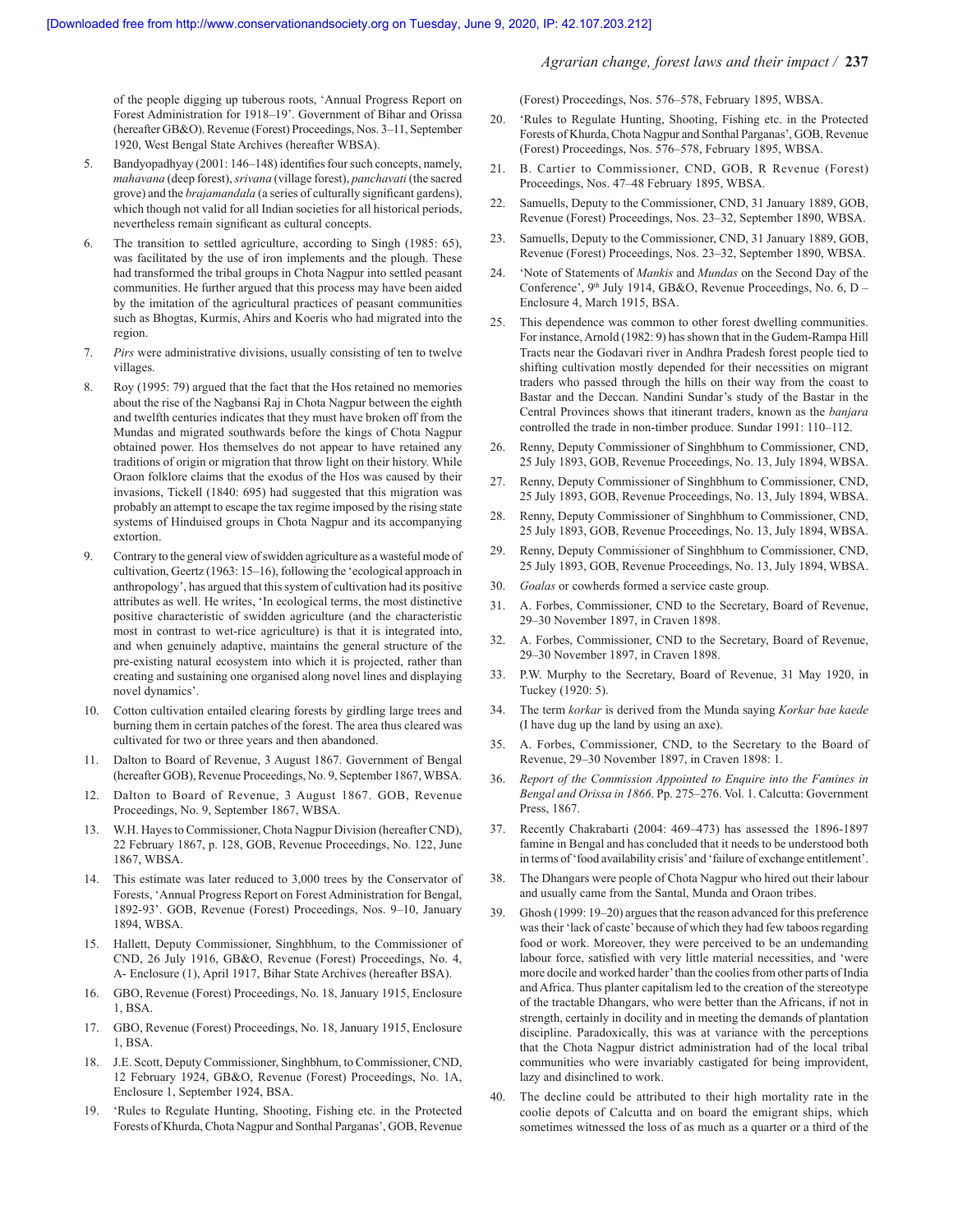*Agrarian change, forest laws and their impact /* **237**

of the people digging up tuberous roots, 'Annual Progress Report on Forest Administration for 1918–19'. Government of Bihar and Orissa (hereafter GB&O). Revenue (Forest) Proceedings, Nos. 3–11, September 1920, West Bengal State Archives (hereafter WBSA).

- 5. Bandyopadhyay (2001: 146-148) identifies four such concepts, namely, *mahavana* (deep forest), *srivana* (village forest), *panchavati* (the sacred grove) and the *brajamandala* (a series of culturally significant gardens), which though not valid for all Indian societies for all historical periods, nevertheless remain significant as cultural concepts.
- 6. The transition to settled agriculture, according to Singh (1985: 65), was facilitated by the use of iron implements and the plough. These had transformed the tribal groups in Chota Nagpur into settled peasant communities. He further argued that this process may have been aided by the imitation of the agricultural practices of peasant communities such as Bhogtas, Kurmis, Ahirs and Koeris who had migrated into the region.
- 7. *Pirs* were administrative divisions, usually consisting of ten to twelve villages.
- 8. Roy (1995: 79) argued that the fact that the Hos retained no memories about the rise of the Nagbansi Raj in Chota Nagpur between the eighth and twelfth centuries indicates that they must have broken off from the Mundas and migrated southwards before the kings of Chota Nagpur obtained power. Hos themselves do not appear to have retained any traditions of origin or migration that throw light on their history. While Oraon folklore claims that the exodus of the Hos was caused by their invasions, Tickell (1840: 695) had suggested that this migration was probably an attempt to escape the tax regime imposed by the rising state systems of Hinduised groups in Chota Nagpur and its accompanying extortion.
- 9. Contrary to the general view of swidden agriculture as a wasteful mode of cultivation, Geertz (1963: 15–16), following the 'ecological approach in anthropology', has argued that this system of cultivation had its positive attributes as well. He writes, 'In ecological terms, the most distinctive positive characteristic of swidden agriculture (and the characteristic most in contrast to wet-rice agriculture) is that it is integrated into, and when genuinely adaptive, maintains the general structure of the pre-existing natural ecosystem into which it is projected, rather than creating and sustaining one organised along novel lines and displaying novel dynamics'.
- 10. Cotton cultivation entailed clearing forests by girdling large trees and burning them in certain patches of the forest. The area thus cleared was cultivated for two or three years and then abandoned.
- 11. Dalton to Board of Revenue, 3 August 1867. Government of Bengal (hereafter GOB), Revenue Proceedings, No. 9, September 1867, WBSA.
- 12. Dalton to Board of Revenue, 3 August 1867. GOB, Revenue Proceedings, No. 9, September 1867, WBSA.
- 13. W.H. Hayes to Commissioner, Chota Nagpur Division (hereafter CND), 22 February 1867, p. 128, GOB, Revenue Proceedings, No. 122, June 1867, WBSA.
- 14. This estimate was later reduced to 3,000 trees by the Conservator of Forests, 'Annual Progress Report on Forest Administration for Bengal, 1892-93'. GOB, Revenue (Forest) Proceedings, Nos. 9–10, January 1894, WBSA.
- 15. Hallett, Deputy Commissioner, Singhbhum, to the Commissioner of CND, 26 July 1916, GB&O, Revenue (Forest) Proceedings, No. 4, A- Enclosure (1), April 1917, Bihar State Archives (hereafter BSA).
- 16. GBO, Revenue (Forest) Proceedings, No. 18, January 1915, Enclosure 1, BSA.
- 17. GBO, Revenue (Forest) Proceedings, No. 18, January 1915, Enclosure 1, BSA.
- 18. J.E. Scott, Deputy Commissioner, Singhbhum, to Commissioner, CND, 12 February 1924, GB&O, Revenue (Forest) Proceedings, No. 1A, Enclosure 1, September 1924, BSA.
- 19. 'Rules to Regulate Hunting, Shooting, Fishing etc. in the Protected Forests of Khurda, Chota Nagpur and Sonthal Parganas', GOB, Revenue

(Forest) Proceedings, Nos. 576–578, February 1895, WBSA.

- 20. 'Rules to Regulate Hunting, Shooting, Fishing etc. in the Protected Forests of Khurda, Chota Nagpur and Sonthal Parganas', GOB, Revenue (Forest) Proceedings, Nos. 576–578, February 1895, WBSA.
- 21. B. Cartier to Commissioner, CND, GOB, R Revenue (Forest) Proceedings, Nos. 47–48 February 1895, WBSA.
- 22. Samuells, Deputy to the Commissioner, CND, 31 January 1889, GOB, Revenue (Forest) Proceedings, Nos. 23–32, September 1890, WBSA.
- 23. Samuells, Deputy to the Commissioner, CND, 31 January 1889, GOB, Revenue (Forest) Proceedings, Nos. 23–32, September 1890, WBSA.
- 24. 'Note of Statements of *Mankis* and *Mundas* on the Second Day of the Conference',  $9<sup>th</sup>$  July 1914, GB&O, Revenue Proceedings, No. 6, D – Enclosure 4, March 1915, BSA.
- 25. This dependence was common to other forest dwelling communities. For instance, Arnold (1982: 9) has shown that in the Gudem-Rampa Hill Tracts near the Godavari river in Andhra Pradesh forest people tied to shifting cultivation mostly depended for their necessities on migrant traders who passed through the hills on their way from the coast to Bastar and the Deccan. Nandini Sundar's study of the Bastar in the Central Provinces shows that itinerant traders, known as the *banjara* controlled the trade in non-timber produce. Sundar 1991: 110–112.
- 26. Renny, Deputy Commissioner of Singhbhum to Commissioner, CND, 25 July 1893, GOB, Revenue Proceedings, No. 13, July 1894, WBSA.
- 27. Renny, Deputy Commissioner of Singhbhum to Commissioner, CND, 25 July 1893, GOB, Revenue Proceedings, No. 13, July 1894, WBSA.
- 28. Renny, Deputy Commissioner of Singhbhum to Commissioner, CND, 25 July 1893, GOB, Revenue Proceedings, No. 13, July 1894, WBSA.
- 29. Renny, Deputy Commissioner of Singhbhum to Commissioner, CND, 25 July 1893, GOB, Revenue Proceedings, No. 13, July 1894, WBSA.
- 30. *Goalas* or cowherds formed a service caste group.
- 31. A. Forbes, Commissioner, CND to the Secretary, Board of Revenue, 29–30 November 1897, in Craven 1898.
- 32. A. Forbes, Commissioner, CND to the Secretary, Board of Revenue, 29–30 November 1897, in Craven 1898.
- 33. P.W. Murphy to the Secretary, Board of Revenue, 31 May 1920, in Tuckey (1920: 5).
- 34. The term *korkar* is derived from the Munda saying *Korkar bae kaede* (I have dug up the land by using an axe).
- 35. A. Forbes, Commissioner, CND, to the Secretary to the Board of Revenue, 29–30 November 1897, in Craven 1898: 1.
- 36. *Report of the Commission Appointed to Enquire into the Famines in Bengal and Orissa in 1866*. Pp. 275–276. Vol. 1. Calcutta: Government Press, 1867.
- 37. Recently Chakrabarti (2004: 469–473) has assessed the 1896-1897 famine in Bengal and has concluded that it needs to be understood both in terms of 'food availability crisis' and 'failure of exchange entitlement'.
- 38. The Dhangars were people of Chota Nagpur who hired out their labour and usually came from the Santal, Munda and Oraon tribes.
- 39. Ghosh (1999: 19–20) argues that the reason advanced for this preference was their 'lack of caste' because of which they had few taboos regarding food or work. Moreover, they were perceived to be an undemanding labour force, satisfied with very little material necessities, and 'were more docile and worked harder' than the coolies from other parts of India and Africa. Thus planter capitalism led to the creation of the stereotype of the tractable Dhangars, who were better than the Africans, if not in strength, certainly in docility and in meeting the demands of plantation discipline. Paradoxically, this was at variance with the perceptions that the Chota Nagpur district administration had of the local tribal communities who were invariably castigated for being improvident, lazy and disinclined to work.
- 40. The decline could be attributed to their high mortality rate in the coolie depots of Calcutta and on board the emigrant ships, which sometimes witnessed the loss of as much as a quarter or a third of the